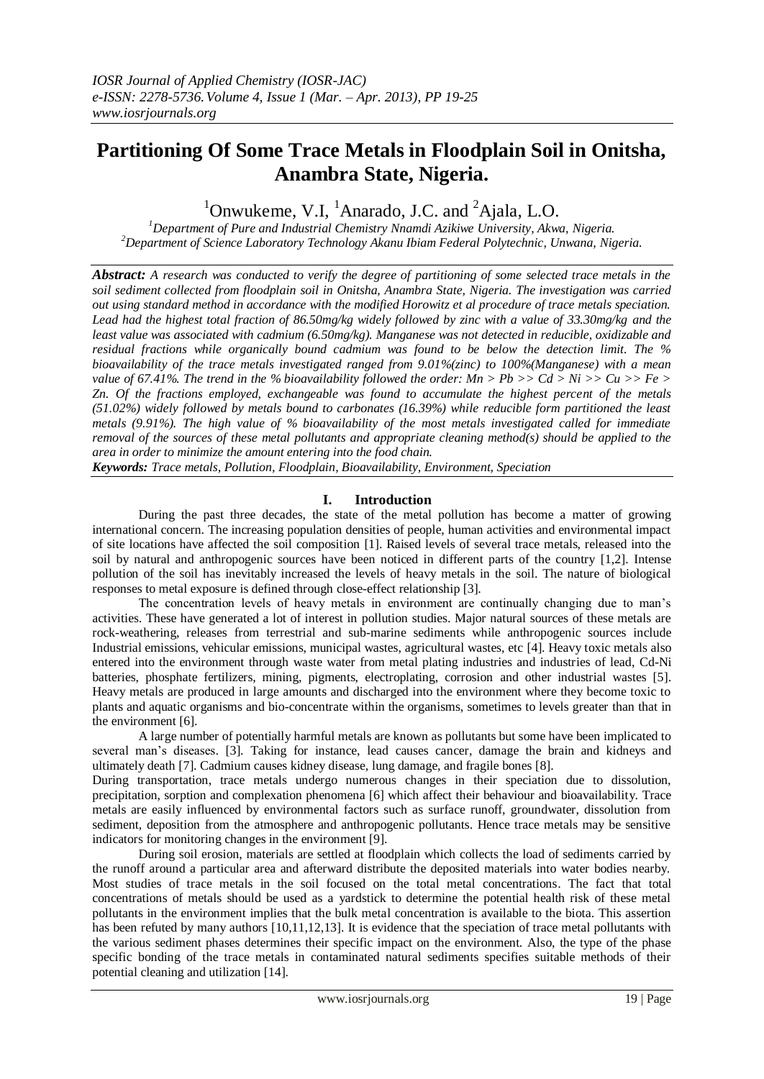# **Partitioning Of Some Trace Metals in Floodplain Soil in Onitsha, Anambra State, Nigeria.**

<sup>1</sup>Onwukeme, V.I. <sup>1</sup>Anarado, J.C. and <sup>2</sup>Ajala, L.O.

*<sup>1</sup>Department of Pure and Industrial Chemistry Nnamdi Azikiwe University, Akwa, Nigeria. <sup>2</sup>Department of Science Laboratory Technology Akanu Ibiam Federal Polytechnic, Unwana, Nigeria.*

*Abstract: A research was conducted to verify the degree of partitioning of some selected trace metals in the soil sediment collected from floodplain soil in Onitsha, Anambra State, Nigeria. The investigation was carried out using standard method in accordance with the modified Horowitz et al procedure of trace metals speciation. Lead had the highest total fraction of 86.50mg/kg widely followed by zinc with a value of 33.30mg/kg and the least value was associated with cadmium (6.50mg/kg). Manganese was not detected in reducible, oxidizable and residual fractions while organically bound cadmium was found to be below the detection limit. The % bioavailability of the trace metals investigated ranged from 9.01%(zinc) to 100%(Manganese) with a mean value of 67.41%. The trend in the % bioavailability followed the order: Mn > Pb >> Cd > Ni >> Cu >> Fe > Zn. Of the fractions employed, exchangeable was found to accumulate the highest percent of the metals (51.02%) widely followed by metals bound to carbonates (16.39%) while reducible form partitioned the least metals (9.91%). The high value of % bioavailability of the most metals investigated called for immediate removal of the sources of these metal pollutants and appropriate cleaning method(s) should be applied to the area in order to minimize the amount entering into the food chain.*

*Keywords: Trace metals, Pollution, Floodplain, Bioavailability, Environment, Speciation*

## **I. Introduction**

During the past three decades, the state of the metal pollution has become a matter of growing international concern. The increasing population densities of people, human activities and environmental impact of site locations have affected the soil composition [1]. Raised levels of several trace metals, released into the soil by natural and anthropogenic sources have been noticed in different parts of the country [1,2]. Intense pollution of the soil has inevitably increased the levels of heavy metals in the soil. The nature of biological responses to metal exposure is defined through close-effect relationship [3].

The concentration levels of heavy metals in environment are continually changing due to man's activities. These have generated a lot of interest in pollution studies. Major natural sources of these metals are rock-weathering, releases from terrestrial and sub-marine sediments while anthropogenic sources include Industrial emissions, vehicular emissions, municipal wastes, agricultural wastes, etc [4]. Heavy toxic metals also entered into the environment through waste water from metal plating industries and industries of lead, Cd-Ni batteries, phosphate fertilizers, mining, pigments, electroplating, corrosion and other industrial wastes [5]. Heavy metals are produced in large amounts and discharged into the environment where they become toxic to plants and aquatic organisms and bio-concentrate within the organisms, sometimes to levels greater than that in the environment [6].

A large number of potentially harmful metals are known as pollutants but some have been implicated to several man's diseases. [3]. Taking for instance, lead causes cancer, damage the brain and kidneys and ultimately death [7]. Cadmium causes kidney disease, lung damage, and fragile bones [8].

During transportation, trace metals undergo numerous changes in their speciation due to dissolution, precipitation, sorption and complexation phenomena [6] which affect their behaviour and bioavailability. Trace metals are easily influenced by environmental factors such as surface runoff, groundwater, dissolution from sediment, deposition from the atmosphere and anthropogenic pollutants. Hence trace metals may be sensitive indicators for monitoring changes in the environment [9].

During soil erosion, materials are settled at floodplain which collects the load of sediments carried by the runoff around a particular area and afterward distribute the deposited materials into water bodies nearby. Most studies of trace metals in the soil focused on the total metal concentrations. The fact that total concentrations of metals should be used as a yardstick to determine the potential health risk of these metal pollutants in the environment implies that the bulk metal concentration is available to the biota. This assertion has been refuted by many authors [10,11,12,13]. It is evidence that the speciation of trace metal pollutants with the various sediment phases determines their specific impact on the environment. Also, the type of the phase specific bonding of the trace metals in contaminated natural sediments specifies suitable methods of their potential cleaning and utilization [14].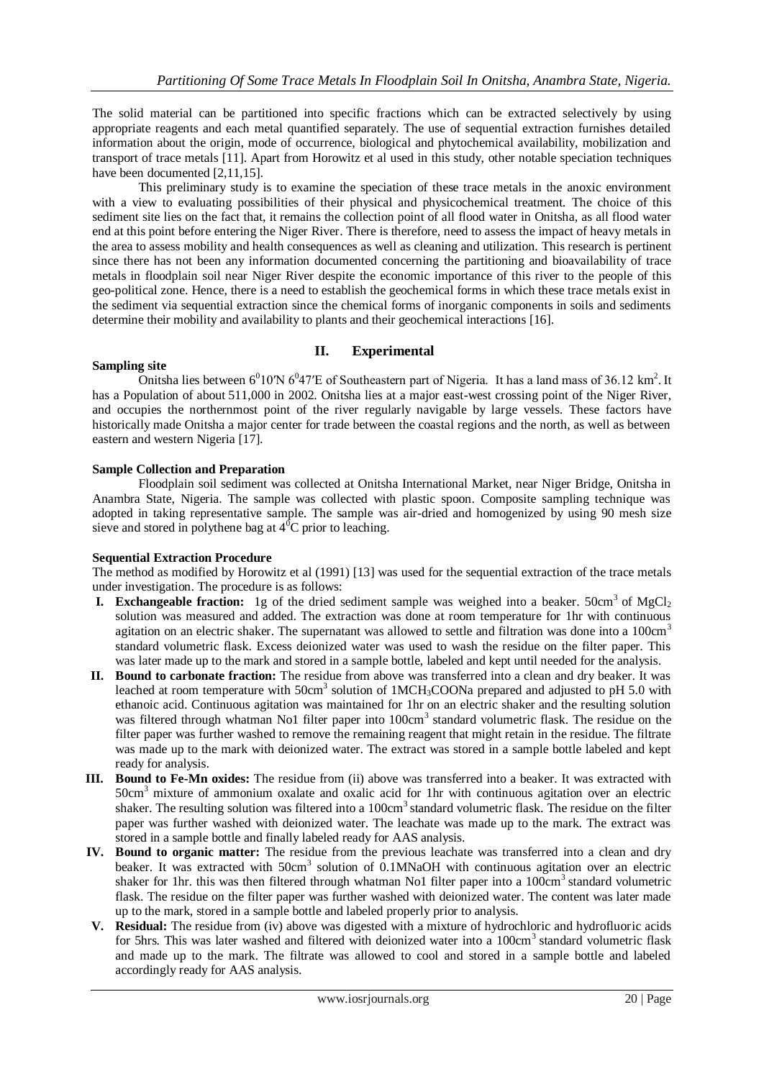The solid material can be partitioned into specific fractions which can be extracted selectively by using appropriate reagents and each metal quantified separately. The use of sequential extraction furnishes detailed information about the origin, mode of occurrence, biological and phytochemical availability, mobilization and transport of trace metals [11]. Apart from Horowitz et al used in this study, other notable speciation techniques have been documented [2,11,15].

This preliminary study is to examine the speciation of these trace metals in the anoxic environment with a view to evaluating possibilities of their physical and physicochemical treatment. The choice of this sediment site lies on the fact that, it remains the collection point of all flood water in Onitsha, as all flood water end at this point before entering the Niger River. There is therefore, need to assess the impact of heavy metals in the area to assess mobility and health consequences as well as cleaning and utilization. This research is pertinent since there has not been any information documented concerning the partitioning and bioavailability of trace metals in floodplain soil near Niger River despite the economic importance of this river to the people of this geo-political zone. Hence, there is a need to establish the geochemical forms in which these trace metals exist in the sediment via sequential extraction since the chemical forms of inorganic components in soils and sediments determine their mobility and availability to plants and their geochemical interactions [16].

## **II. Experimental**

#### **Sampling site**

Onitsha lies between  $6^010'N6^047'E$  of Southeastern part of Nigeria. It has a land mass of 36.12 km<sup>2</sup>. It has a Population of about 511,000 in 2002. Onitsha lies at a major east-west crossing point of the [Niger River,](http://en.wikipedia.org/wiki/Niger_River) and occupies the northernmost point of the river regularly navigable by large vessels. These factors have historically made Onitsha a major center for trade between the coastal regions and the north, as well as between eastern and western Nigeria [17].

#### **Sample Collection and Preparation**

Floodplain soil sediment was collected at Onitsha International Market, near Niger Bridge, Onitsha in Anambra State, Nigeria. The sample was collected with plastic spoon. Composite sampling technique was adopted in taking representative sample. The sample was air-dried and homogenized by using 90 mesh size sieve and stored in polythene bag at  $4^{\circ}$ C prior to leaching.

## **Sequential Extraction Procedure**

The method as modified by Horowitz et al (1991) [13] was used for the sequential extraction of the trace metals under investigation. The procedure is as follows:

- **I. Exchangeable fraction:** 1g of the dried sediment sample was weighed into a beaker. 50cm<sup>3</sup> of  $MgCl<sub>2</sub>$ solution was measured and added. The extraction was done at room temperature for 1hr with continuous agitation on an electric shaker. The supernatant was allowed to settle and filtration was done into a 100cm<sup>3</sup> standard volumetric flask. Excess deionized water was used to wash the residue on the filter paper. This was later made up to the mark and stored in a sample bottle, labeled and kept until needed for the analysis.
- **II. Bound to carbonate fraction:** The residue from above was transferred into a clean and dry beaker. It was leached at room temperature with 50cm<sup>3</sup> solution of 1MCH<sub>3</sub>COONa prepared and adjusted to pH 5.0 with ethanoic acid. Continuous agitation was maintained for 1hr on an electric shaker and the resulting solution was filtered through whatman No1 filter paper into 100cm<sup>3</sup> standard volumetric flask. The residue on the filter paper was further washed to remove the remaining reagent that might retain in the residue. The filtrate was made up to the mark with deionized water. The extract was stored in a sample bottle labeled and kept ready for analysis.
- **III. Bound to Fe-Mn oxides:** The residue from (ii) above was transferred into a beaker. It was extracted with 50cm<sup>3</sup> mixture of ammonium oxalate and oxalic acid for 1hr with continuous agitation over an electric shaker. The resulting solution was filtered into a 100cm<sup>3</sup> standard volumetric flask. The residue on the filter paper was further washed with deionized water. The leachate was made up to the mark. The extract was stored in a sample bottle and finally labeled ready for AAS analysis.
- **IV. Bound to organic matter:** The residue from the previous leachate was transferred into a clean and dry beaker. It was extracted with 50cm<sup>3</sup> solution of 0.1MNaOH with continuous agitation over an electric shaker for 1hr. this was then filtered through whatman No1 filter paper into a 100cm<sup>3</sup> standard volumetric flask. The residue on the filter paper was further washed with deionized water. The content was later made up to the mark, stored in a sample bottle and labeled properly prior to analysis.
- **V. Residual:** The residue from (iv) above was digested with a mixture of hydrochloric and hydrofluoric acids for 5hrs. This was later washed and filtered with deionized water into a 100cm<sup>3</sup> standard volumetric flask and made up to the mark. The filtrate was allowed to cool and stored in a sample bottle and labeled accordingly ready for AAS analysis.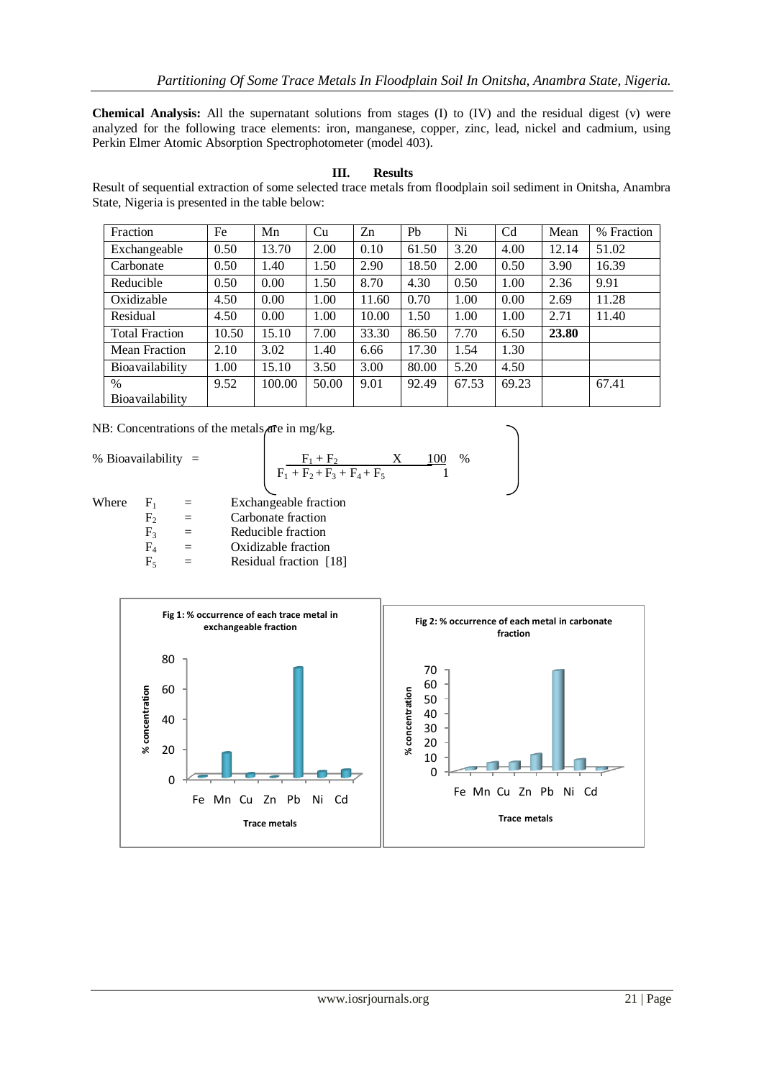**Chemical Analysis:** All the supernatant solutions from stages (I) to (IV) and the residual digest (v) were analyzed for the following trace elements: iron, manganese, copper, zinc, lead, nickel and cadmium, using Perkin Elmer Atomic Absorption Spectrophotometer (model 403).

## **III. Results**

Result of sequential extraction of some selected trace metals from floodplain soil sediment in Onitsha, Anambra State, Nigeria is presented in the table below:

| Fraction              | Fe    | Mn     | Cu    | Zn    | P <sub>b</sub> | Ni    | C <sub>d</sub> | Mean  | % Fraction |
|-----------------------|-------|--------|-------|-------|----------------|-------|----------------|-------|------------|
| Exchangeable          | 0.50  | 13.70  | 2.00  | 0.10  | 61.50          | 3.20  | 4.00           | 12.14 | 51.02      |
| Carbonate             | 0.50  | 1.40   | 1.50  | 2.90  | 18.50          | 2.00  | 0.50           | 3.90  | 16.39      |
| Reducible             | 0.50  | 0.00   | 1.50  | 8.70  | 4.30           | 0.50  | 1.00           | 2.36  | 9.91       |
| Oxidizable            | 4.50  | 0.00   | 1.00  | 11.60 | 0.70           | 1.00  | 0.00           | 2.69  | 11.28      |
| Residual              | 4.50  | 0.00   | 1.00  | 10.00 | 1.50           | 1.00  | 1.00           | 2.71  | 11.40      |
| <b>Total Fraction</b> | 10.50 | 15.10  | 7.00  | 33.30 | 86.50          | 7.70  | 6.50           | 23.80 |            |
| <b>Mean Fraction</b>  | 2.10  | 3.02   | 1.40  | 6.66  | 17.30          | 1.54  | 1.30           |       |            |
| Bioavailability       | 1.00  | 15.10  | 3.50  | 3.00  | 80.00          | 5.20  | 4.50           |       |            |
| %                     | 9.52  | 100.00 | 50.00 | 9.01  | 92.49          | 67.53 | 69.23          |       | 67.41      |
| Bioavailability       |       |        |       |       |                |       |                |       |            |

NB: Concentrations of the metals are in mg/kg.

% Bioavailability  $=$ 

$$
F_1 + F_2 + F_3 + F_4 + F_5 \qquad 100 \quad \%
$$

Where  $F_1$  = Exchangeable fraction

- $F_2$  = Carbonate fraction
- $F_3$  = Reducible fraction
- $F_4$  = Oxidizable fraction
- $F_5$  = Residual fraction [18]

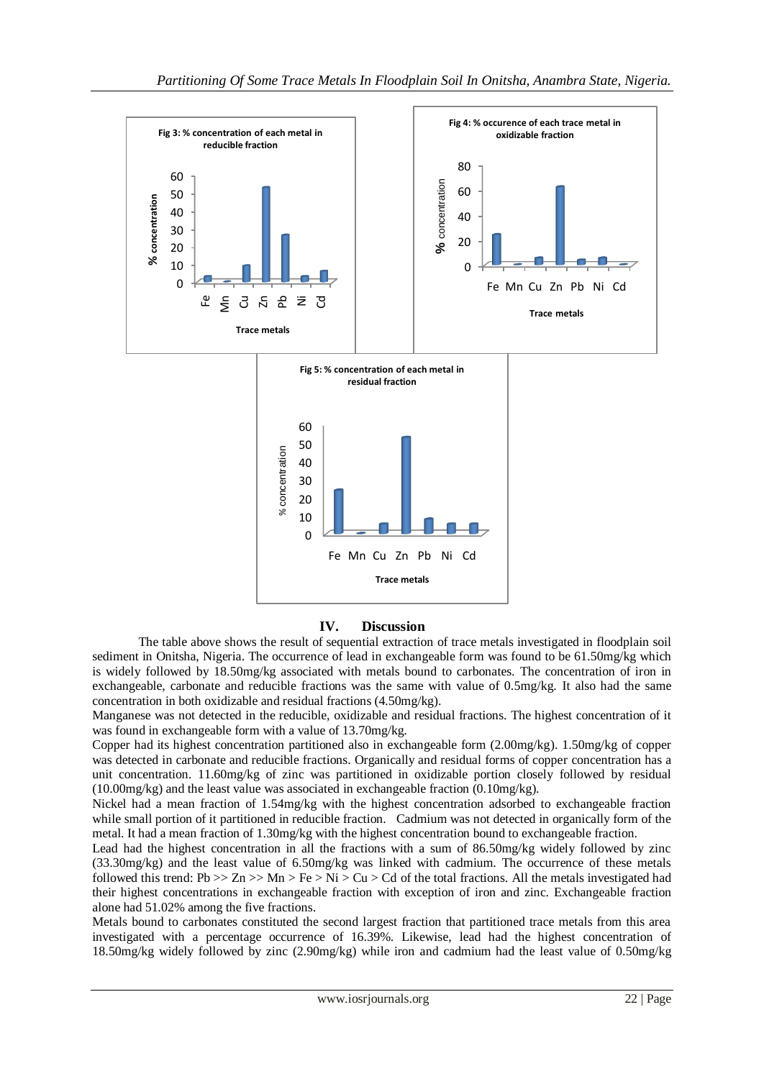

#### **IV. Discussion**

The table above shows the result of sequential extraction of trace metals investigated in floodplain soil sediment in Onitsha, Nigeria. The occurrence of lead in exchangeable form was found to be 61.50mg/kg which is widely followed by 18.50mg/kg associated with metals bound to carbonates. The concentration of iron in exchangeable, carbonate and reducible fractions was the same with value of 0.5mg/kg. It also had the same concentration in both oxidizable and residual fractions (4.50mg/kg).

Manganese was not detected in the reducible, oxidizable and residual fractions. The highest concentration of it was found in exchangeable form with a value of 13.70mg/kg.

Copper had its highest concentration partitioned also in exchangeable form (2.00mg/kg). 1.50mg/kg of copper was detected in carbonate and reducible fractions. Organically and residual forms of copper concentration has a unit concentration. 11.60mg/kg of zinc was partitioned in oxidizable portion closely followed by residual (10.00mg/kg) and the least value was associated in exchangeable fraction (0.10mg/kg).

Nickel had a mean fraction of 1.54mg/kg with the highest concentration adsorbed to exchangeable fraction while small portion of it partitioned in reducible fraction. Cadmium was not detected in organically form of the metal. It had a mean fraction of 1.30mg/kg with the highest concentration bound to exchangeable fraction.

Lead had the highest concentration in all the fractions with a sum of 86.50mg/kg widely followed by zinc (33.30mg/kg) and the least value of 6.50mg/kg was linked with cadmium. The occurrence of these metals followed this trend: Pb  $>> Zn >> Mn > Fe > Ni > Cu > Cd$  of the total fractions. All the metals investigated had their highest concentrations in exchangeable fraction with exception of iron and zinc. Exchangeable fraction alone had 51.02% among the five fractions.

Metals bound to carbonates constituted the second largest fraction that partitioned trace metals from this area investigated with a percentage occurrence of 16.39%. Likewise, lead had the highest concentration of 18.50mg/kg widely followed by zinc (2.90mg/kg) while iron and cadmium had the least value of 0.50mg/kg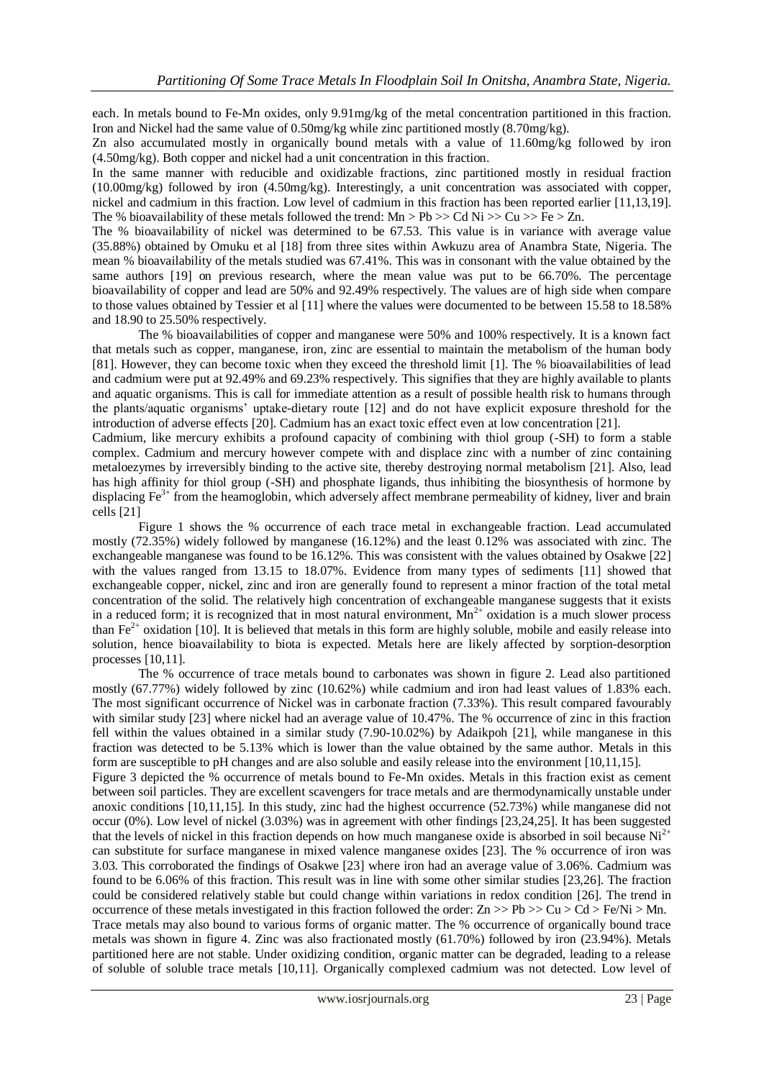each. In metals bound to Fe-Mn oxides, only 9.91mg/kg of the metal concentration partitioned in this fraction. Iron and Nickel had the same value of 0.50mg/kg while zinc partitioned mostly (8.70mg/kg).

Zn also accumulated mostly in organically bound metals with a value of 11.60mg/kg followed by iron (4.50mg/kg). Both copper and nickel had a unit concentration in this fraction.

In the same manner with reducible and oxidizable fractions, zinc partitioned mostly in residual fraction (10.00mg/kg) followed by iron (4.50mg/kg). Interestingly, a unit concentration was associated with copper, nickel and cadmium in this fraction. Low level of cadmium in this fraction has been reported earlier [11,13,19]. The % bioavailability of these metals followed the trend:  $Mn > Pb \gg Cd Ni \gg Cu \gg Fe \gg Zn$ .

The % bioavailability of nickel was determined to be 67.53. This value is in variance with average value (35.88%) obtained by Omuku et al [18] from three sites within Awkuzu area of Anambra State, Nigeria. The mean % bioavailability of the metals studied was 67.41%. This was in consonant with the value obtained by the same authors [19] on previous research, where the mean value was put to be 66.70%. The percentage bioavailability of copper and lead are 50% and 92.49% respectively. The values are of high side when compare to those values obtained by Tessier et al [11] where the values were documented to be between 15.58 to 18.58% and 18.90 to 25.50% respectively.

The % bioavailabilities of copper and manganese were 50% and 100% respectively. It is a known fact that metals such as copper, manganese, iron, zinc are essential to maintain the metabolism of the human body [81]. However, they can become toxic when they exceed the threshold limit [1]. The % bioavailabilities of lead and cadmium were put at 92.49% and 69.23% respectively. This signifies that they are highly available to plants and aquatic organisms. This is call for immediate attention as a result of possible health risk to humans through the plants/aquatic organisms' uptake-dietary route [12] and do not have explicit exposure threshold for the introduction of adverse effects [20]. Cadmium has an exact toxic effect even at low concentration [21].

Cadmium, like mercury exhibits a profound capacity of combining with thiol group (-SH) to form a stable complex. Cadmium and mercury however compete with and displace zinc with a number of zinc containing metaloezymes by irreversibly binding to the active site, thereby destroying normal metabolism [21]. Also, lead has high affinity for thiol group (-SH) and phosphate ligands, thus inhibiting the biosynthesis of hormone by displacing Fe<sup>3+</sup> from the heamoglobin, which adversely affect membrane permeability of kidney, liver and brain cells [21]

Figure 1 shows the % occurrence of each trace metal in exchangeable fraction. Lead accumulated mostly (72.35%) widely followed by manganese (16.12%) and the least 0.12% was associated with zinc. The exchangeable manganese was found to be 16.12%. This was consistent with the values obtained by Osakwe [22] with the values ranged from 13.15 to 18.07%. Evidence from many types of sediments [11] showed that exchangeable copper, nickel, zinc and iron are generally found to represent a minor fraction of the total metal concentration of the solid. The relatively high concentration of exchangeable manganese suggests that it exists in a reduced form; it is recognized that in most natural environment,  $Mn^{2+}$  oxidation is a much slower process than  $Fe<sup>2+</sup>$  oxidation [10]. It is believed that metals in this form are highly soluble, mobile and easily release into solution, hence bioavailability to biota is expected. Metals here are likely affected by sorption-desorption processes [10,11].

The % occurrence of trace metals bound to carbonates was shown in figure 2. Lead also partitioned mostly (67.77%) widely followed by zinc (10.62%) while cadmium and iron had least values of 1.83% each. The most significant occurrence of Nickel was in carbonate fraction (7.33%). This result compared favourably with similar study [23] where nickel had an average value of 10.47%. The % occurrence of zinc in this fraction fell within the values obtained in a similar study (7.90-10.02%) by Adaikpoh [21], while manganese in this fraction was detected to be 5.13% which is lower than the value obtained by the same author. Metals in this form are susceptible to pH changes and are also soluble and easily release into the environment [10,11,15]. Figure 3 depicted the % occurrence of metals bound to Fe-Mn oxides. Metals in this fraction exist as cement between soil particles. They are excellent scavengers for trace metals and are thermodynamically unstable under anoxic conditions [10,11,15]. In this study, zinc had the highest occurrence (52.73%) while manganese did not occur (0%). Low level of nickel (3.03%) was in agreement with other findings [23,24,25]. It has been suggested that the levels of nickel in this fraction depends on how much manganese oxide is absorbed in soil because  $Ni^{2+}$ can substitute for surface manganese in mixed valence manganese oxides [23]. The % occurrence of iron was 3.03. This corroborated the findings of Osakwe [23] where iron had an average value of 3.06%. Cadmium was found to be 6.06% of this fraction. This result was in line with some other similar studies [23,26]. The fraction could be considered relatively stable but could change within variations in redox condition [26]. The trend in occurrence of these metals investigated in this fraction followed the order:  $\text{Zn} \gg \text{Pb} \gg \text{Cu} \geq \text{Cd} \geq \text{Fe/Ni} \geq \text{Mn}$ .

Trace metals may also bound to various forms of organic matter. The % occurrence of organically bound trace metals was shown in figure 4. Zinc was also fractionated mostly (61.70%) followed by iron (23.94%). Metals partitioned here are not stable. Under oxidizing condition, organic matter can be degraded, leading to a release of soluble of soluble trace metals [10,11]. Organically complexed cadmium was not detected. Low level of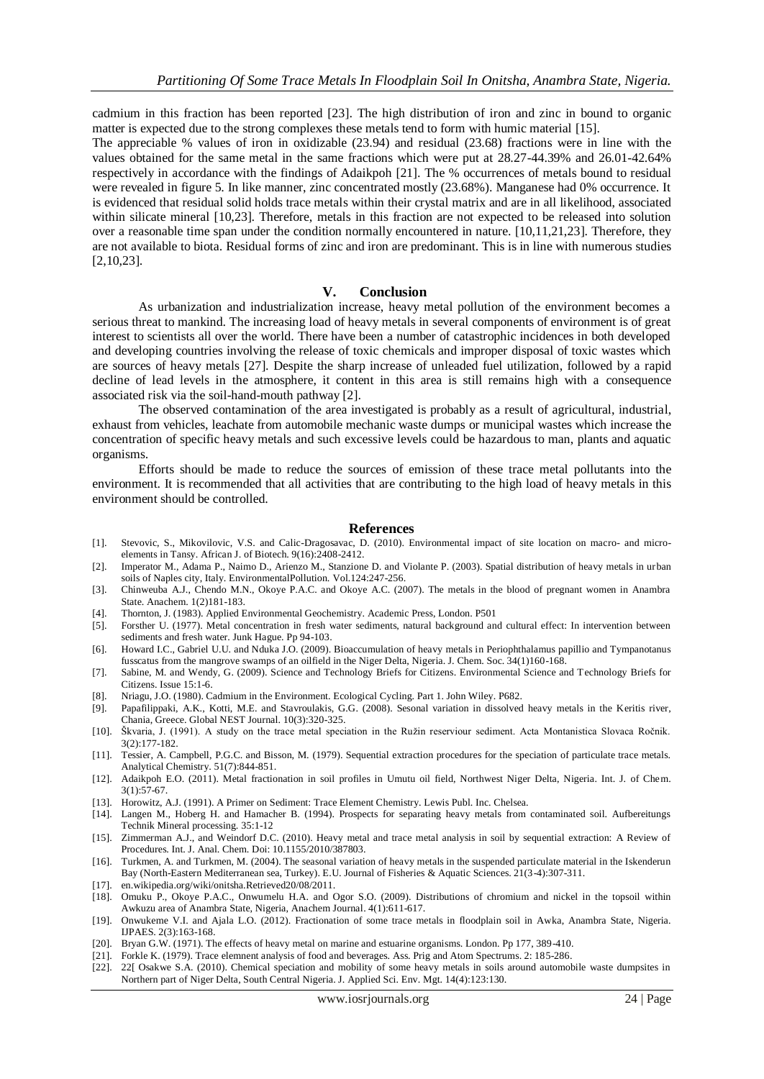cadmium in this fraction has been reported [23]. The high distribution of iron and zinc in bound to organic matter is expected due to the strong complexes these metals tend to form with humic material [15].

The appreciable % values of iron in oxidizable (23.94) and residual (23.68) fractions were in line with the values obtained for the same metal in the same fractions which were put at 28.27-44.39% and 26.01-42.64% respectively in accordance with the findings of Adaikpoh [21]. The % occurrences of metals bound to residual were revealed in figure 5. In like manner, zinc concentrated mostly (23.68%). Manganese had 0% occurrence. It is evidenced that residual solid holds trace metals within their crystal matrix and are in all likelihood, associated within silicate mineral [10,23]. Therefore, metals in this fraction are not expected to be released into solution over a reasonable time span under the condition normally encountered in nature. [10,11,21,23]. Therefore, they are not available to biota. Residual forms of zinc and iron are predominant. This is in line with numerous studies [2,10,23].

#### **V. Conclusion**

As urbanization and industrialization increase, heavy metal pollution of the environment becomes a serious threat to mankind. The increasing load of heavy metals in several components of environment is of great interest to scientists all over the world. There have been a number of catastrophic incidences in both developed and developing countries involving the release of toxic chemicals and improper disposal of toxic wastes which are sources of heavy metals [27]. Despite the sharp increase of unleaded fuel utilization, followed by a rapid decline of lead levels in the atmosphere, it content in this area is still remains high with a consequence associated risk via the soil-hand-mouth pathway [2].

The observed contamination of the area investigated is probably as a result of agricultural, industrial, exhaust from vehicles, leachate from automobile mechanic waste dumps or municipal wastes which increase the concentration of specific heavy metals and such excessive levels could be hazardous to man, plants and aquatic organisms.

Efforts should be made to reduce the sources of emission of these trace metal pollutants into the environment. It is recommended that all activities that are contributing to the high load of heavy metals in this environment should be controlled.

#### **References**

- [1]. Stevovic, S., Mikovilovic, V.S. and Calic-Dragosavac, D. (2010). Environmental impact of site location on macro- and microelements in Tansy. African J. of Biotech. 9(16):2408-2412.
- [2]. Imperator M., Adama P., Naimo D., Arienzo M., Stanzione D. and Violante P. (2003). Spatial distribution of heavy metals in urban soils of Naples city, Italy. EnvironmentalPollution. Vol.124:247-256.
- [3]. Chinweuba A.J., Chendo M.N., Okoye P.A.C. and Okoye A.C. (2007). The metals in the blood of pregnant women in Anambra State. Anachem. 1(2)181-183.
- [4]. Thornton, J. (1983). Applied Environmental Geochemistry. Academic Press, London. P501
- [5]. Forsther U. (1977). Metal concentration in fresh water sediments, natural background and cultural effect: In intervention between sediments and fresh water. Junk Hague. Pp 94-103.
- [6]. Howard I.C., Gabriel U.U. and Nduka J.O. (2009). Bioaccumulation of heavy metals in Periophthalamus papillio and Tympanotanus fusscatus from the mangrove swamps of an oilfield in the Niger Delta, Nigeria. J. Chem. Soc. 34(1)160-168.
- [7]. Sabine, M. and Wendy, G. (2009). Science and Technology Briefs for Citizens. Environmental Science and Technology Briefs for Citizens. Issue 15:1-6.
- [8]. Nriagu, J.O. (1980). Cadmium in the Environment. Ecological Cycling. Part 1. John Wiley. P682.
- [9]. Papafilippaki, A.K., Kotti, M.E. and Stavroulakis, G.G. (2008). Sesonal variation in dissolved heavy metals in the Keritis river, Chania, Greece. Global NEST Journal. 10(3):320-325.
- [10]. Škvaria, J. (1991). A study on the trace metal speciation in the Ružin reserviour sediment. Acta Montanistica Slovaca Ročnik. 3(2):177-182.
- [11]. Tessier, A. Campbell, P.G.C. and Bisson, M. (1979). Sequential extraction procedures for the speciation of particulate trace metals. Analytical Chemistry. 51(7):844-851.
- [12]. Adaikpoh E.O. (2011). Metal fractionation in soil profiles in Umutu oil field, Northwest Niger Delta, Nigeria. Int. J. of Chem. 3(1):57-67.
- [13]. Horowitz, A.J. (1991). A Primer on Sediment: Trace Element Chemistry. Lewis Publ. Inc. Chelsea.
- [14]. Langen M., Hoberg H. and Hamacher B. (1994). Prospects for separating heavy metals from contaminated soil. Aufbereitungs Technik Mineral processing. 35:1-12
- [15]. Zimmerman A.J., and Weindorf D.C. (2010). Heavy metal and trace metal analysis in soil by sequential extraction: A Review of Procedures. Int. J. Anal. Chem. Doi: 10.1155/2010/387803.
- [16]. Turkmen, A. and Turkmen, M. (2004). The seasonal variation of heavy metals in the suspended particulate material in the Iskenderun Bay (North-Eastern Mediterranean sea, Turkey). E.U. Journal of Fisheries & Aquatic Sciences. 21(3-4):307-311.
- [17]. en.wikipedia.org/wiki/onitsha.Retrieved20/08/2011.
- [18]. Omuku P., Okoye P.A.C., Onwumelu H.A. and Ogor S.O. (2009). Distributions of chromium and nickel in the topsoil within Awkuzu area of Anambra State, Nigeria, Anachem Journal. 4(1):611-617.
- [19]. Onwukeme V.I. and Ajala L.O. (2012). Fractionation of some trace metals in floodplain soil in Awka, Anambra State, Nigeria. IJPAES. 2(3):163-168.
- [20]. Bryan G.W. (1971). The effects of heavy metal on marine and estuarine organisms. London. Pp 177, 389-410.
- [21]. Forkle K. (1979). Trace elemnent analysis of food and beverages. Ass. Prig and Atom Spectrums. 2: 185-286.
- [22]. 22[ Osakwe S.A. (2010). Chemical speciation and mobility of some heavy metals in soils around automobile waste dumpsites in Northern part of Niger Delta, South Central Nigeria. J. Applied Sci. Env. Mgt. 14(4):123:130.